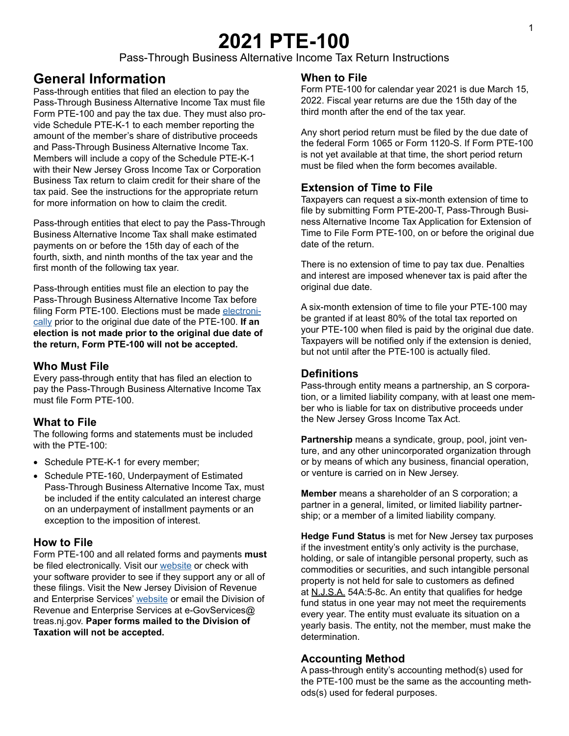# **2021 PTE-100**

Pass-Through Business Alternative Income Tax Return Instructions

# **General Information**

Pass-through entities that filed an election to pay the Pass-Through Business Alternative Income Tax must file Form PTE-100 and pay the tax due. They must also provide Schedule PTE-K-1 to each member reporting the amount of the member's share of distributive proceeds and Pass-Through Business Alternative Income Tax. Members will include a copy of the Schedule PTE-K-1 with their New Jersey Gross Income Tax or Corporation Business Tax return to claim credit for their share of the tax paid. See the instructions for the appropriate return for more information on how to claim the credit.

Pass-through entities that elect to pay the Pass-Through Business Alternative Income Tax shall make estimated payments on or before the 15th day of each of the fourth, sixth, and ninth months of the tax year and the first month of the following tax year.

Pass-through entities must file an election to pay the Pass-Through Business Alternative Income Tax before filing Form PTE-100. Elections must be made [electroni](https://www1.state.nj.us/TYTR_BusinessFilings/jsp/common/Login.jsp?taxcode=09)[cally](https://www1.state.nj.us/TYTR_BusinessFilings/jsp/common/Login.jsp?taxcode=09) prior to the original due date of the PTE-100. **If an election is not made prior to the original due date of the return, Form PTE-100 will not be accepted.**

# **Who Must File**

Every pass-through entity that has filed an election to pay the Pass-Through Business Alternative Income Tax must file Form PTE-100.

# **What to File**

The following forms and statements must be included with the PTE-100:

- Schedule PTE-K-1 for every member;
- Schedule PTE-160, Underpayment of Estimated Pass-Through Business Alternative Income Tax, must be included if the entity calculated an interest charge on an underpayment of installment payments or an exception to the imposition of interest.

# **How to File**

Form PTE-100 and all related forms and payments **must** be filed electronically. Visit our [website](http://www.state.nj.us/treasury/taxation/payments-notices.shtml) or check with your software provider to see if they support any or all of these filings. Visit the New Jersey Division of Revenue and Enterprise Services' [website](http://www.state.nj.us/treasury/revenue/partnerships.shtml) or email the Division of Revenue and Enterprise Services at e-GovServices@ treas.nj.gov. **Paper forms mailed to the Division of Taxation will not be accepted.** 

# **When to File**

Form PTE-100 for calendar year 2021 is due March 15, 2022. Fiscal year returns are due the 15th day of the third month after the end of the tax year.

Any short period return must be filed by the due date of the federal Form 1065 or Form 1120-S. If Form PTE-100 is not yet available at that time, the short period return must be filed when the form becomes available.

# **Extension of Time to File**

Taxpayers can request a six-month extension of time to file by submitting Form PTE-200-T, Pass-Through Business Alternative Income Tax Application for Extension of Time to File Form PTE-100, on or before the original due date of the return.

There is no extension of time to pay tax due. Penalties and interest are imposed whenever tax is paid after the original due date.

A six-month extension of time to file your PTE-100 may be granted if at least 80% of the total tax reported on your PTE-100 when filed is paid by the original due date. Taxpayers will be notified only if the extension is denied, but not until after the PTE-100 is actually filed.

# **Definitions**

Pass-through entity means a partnership, an S corporation, or a limited liability company, with at least one member who is liable for tax on distributive proceeds under the New Jersey Gross Income Tax Act.

**Partnership** means a syndicate, group, pool, joint venture, and any other unincorporated organization through or by means of which any business, financial operation, or venture is carried on in New Jersey.

**Member** means a shareholder of an S corporation; a partner in a general, limited, or limited liability partnership; or a member of a limited liability company.

**Hedge Fund Status** is met for New Jersey tax purposes if the investment entity's only activity is the purchase, holding, or sale of intangible personal property, such as commodities or securities, and such intangible personal property is not held for sale to customers as defined at N.J.S.A. 54A:5-8c. An entity that qualifies for hedge fund status in one year may not meet the requirements every year. The entity must evaluate its situation on a yearly basis. The entity, not the member, must make the determination.

# **Accounting Method**

A pass-through entity's accounting method(s) used for the PTE-100 must be the same as the accounting methods(s) used for federal purposes.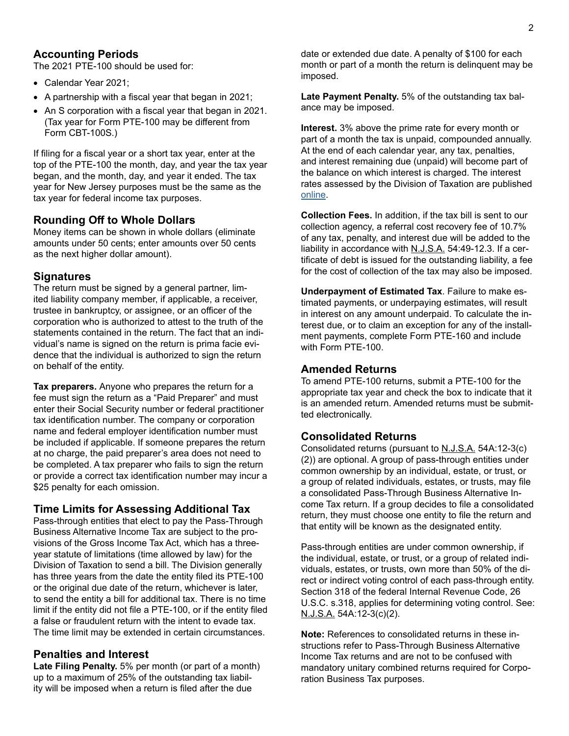# **Accounting Periods**

The 2021 PTE-100 should be used for:

- Calendar Year 2021;
- A partnership with a fiscal year that began in 2021;
- An S corporation with a fiscal year that began in 2021. (Tax year for Form PTE-100 may be different from Form CBT-100S.)

If filing for a fiscal year or a short tax year, enter at the top of the PTE-100 the month, day, and year the tax year began, and the month, day, and year it ended. The tax year for New Jersey purposes must be the same as the tax year for federal income tax purposes.

# **Rounding Off to Whole Dollars**

Money items can be shown in whole dollars (eliminate amounts under 50 cents; enter amounts over 50 cents as the next higher dollar amount).

# **Signatures**

The return must be signed by a general partner, limited liability company member, if applicable, a receiver, trustee in bankruptcy, or assignee, or an officer of the corporation who is authorized to attest to the truth of the statements contained in the return. The fact that an individual's name is signed on the return is prima facie evidence that the individual is authorized to sign the return on behalf of the entity.

**Tax preparers.** Anyone who prepares the return for a fee must sign the return as a "Paid Preparer" and must enter their Social Security number or federal practitioner tax identification number. The company or corporation name and federal employer identification number must be included if applicable. If someone prepares the return at no charge, the paid preparer's area does not need to be completed. A tax preparer who fails to sign the return or provide a correct tax identification number may incur a \$25 penalty for each omission.

### **Time Limits for Assessing Additional Tax**

Pass-through entities that elect to pay the Pass-Through Business Alternative Income Tax are subject to the provisions of the Gross Income Tax Act, which has a threeyear statute of limitations (time allowed by law) for the Division of Taxation to send a bill. The Division generally has three years from the date the entity filed its PTE-100 or the original due date of the return, whichever is later, to send the entity a bill for additional tax. There is no time limit if the entity did not file a PTE-100, or if the entity filed a false or fraudulent return with the intent to evade tax. The time limit may be extended in certain circumstances.

# <span id="page-1-0"></span>**Penalties and Interest**

**Late Filing Penalty.** 5% per month (or part of a month) up to a maximum of 25% of the outstanding tax liability will be imposed when a return is filed after the due

date or extended due date. A penalty of \$100 for each month or part of a month the return is delinquent may be imposed.

**Late Payment Penalty.** 5% of the outstanding tax balance may be imposed.

**Interest.** 3% above the prime rate for every month or part of a month the tax is unpaid, compounded annually. At the end of each calendar year, any tax, penalties, and interest remaining due (unpaid) will become part of the balance on which interest is charged. The interest rates assessed by the Division of Taxation are published [online](https://www.state.nj.us/treasury/taxation/interest.shtml).

**Collection Fees.** In addition, if the tax bill is sent to our collection agency, a referral cost recovery fee of 10.7% of any tax, penalty, and interest due will be added to the liability in accordance with N.J.S.A. 54:49-12.3. If a certificate of debt is issued for the outstanding liability, a fee for the cost of collection of the tax may also be imposed.

**Underpayment of Estimated Tax**. Failure to make estimated payments, or underpaying estimates, will result in interest on any amount underpaid. To calculate the interest due, or to claim an exception for any of the installment payments, complete Form PTE-160 and include with Form PTE-100.

### **Amended Returns**

To amend PTE-100 returns, submit a PTE-100 for the appropriate tax year and check the box to indicate that it is an amended return. Amended returns must be submitted electronically.

### **Consolidated Returns**

Consolidated returns (pursuant to N.J.S.A. 54A:12-3(c) (2)) are optional. A group of pass-through entities under common ownership by an individual, estate, or trust, or a group of related individuals, estates, or trusts, may file a consolidated Pass-Through Business Alternative Income Tax return. If a group decides to file a consolidated return, they must choose one entity to file the return and that entity will be known as the designated entity.

Pass-through entities are under common ownership, if the individual, estate, or trust, or a group of related individuals, estates, or trusts, own more than 50% of the direct or indirect voting control of each pass-through entity. Section 318 of the federal Internal Revenue Code, 26 U.S.C. s.318, applies for determining voting control. See: N.J.S.A. 54A:12-3(c)(2).

**Note:** References to consolidated returns in these instructions refer to Pass-Through Business Alternative Income Tax returns and are not to be confused with mandatory unitary combined returns required for Corporation Business Tax purposes.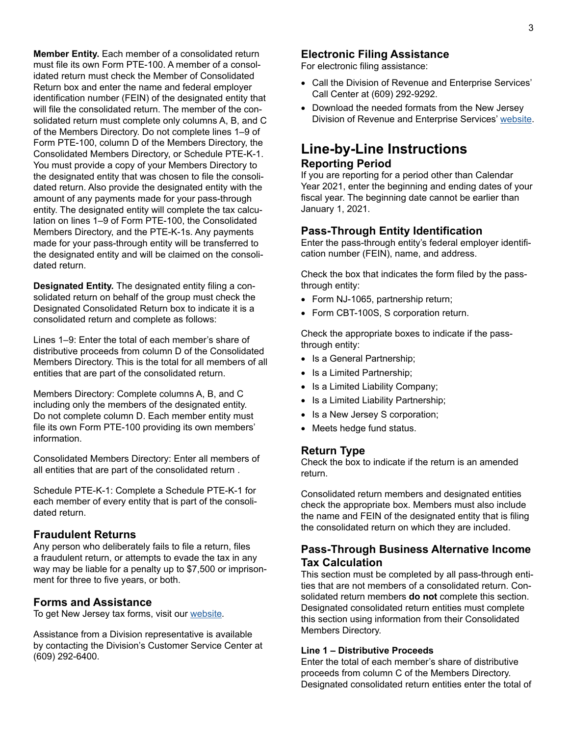**Member Entity.** Each member of a consolidated return must file its own Form PTE-100. A member of a consolidated return must check the Member of Consolidated Return box and enter the name and federal employer identification number (FEIN) of the designated entity that will file the consolidated return. The member of the consolidated return must complete only columns A, B, and C of the Members Directory. Do not complete lines 1–9 of Form PTE-100, column D of the Members Directory, the Consolidated Members Directory, or Schedule PTE-K-1. You must provide a copy of your Members Directory to the designated entity that was chosen to file the consolidated return. Also provide the designated entity with the amount of any payments made for your pass-through entity. The designated entity will complete the tax calculation on lines 1–9 of Form PTE-100, the Consolidated Members Directory, and the PTE-K-1s. Any payments made for your pass-through entity will be transferred to the designated entity and will be claimed on the consolidated return.

**Designated Entity.** The designated entity filing a consolidated return on behalf of the group must check the Designated Consolidated Return box to indicate it is a consolidated return and complete as follows:

Lines 1–9: Enter the total of each member's share of distributive proceeds from column D of the Consolidated Members Directory. This is the total for all members of all entities that are part of the consolidated return.

Members Directory: Complete columns A, B, and C including only the members of the designated entity. Do not complete column D. Each member entity must file its own Form PTE-100 providing its own members' information.

Consolidated Members Directory: Enter all members of all entities that are part of the consolidated return .

Schedule PTE-K-1: Complete a Schedule PTE-K-1 for each member of every entity that is part of the consolidated return.

#### **Fraudulent Returns**

Any person who deliberately fails to file a return, files a fraudulent return, or attempts to evade the tax in any way may be liable for a penalty up to \$7,500 or imprisonment for three to five years, or both.

#### **Forms and Assistance**

To get New Jersey tax forms, visit our [website](https://www.nj.gov/treasury/taxation/forms/index.shtml)*.*

Assistance from a Division representative is available by contacting the Division's Customer Service Center at (609) 292-6400.

### **Electronic Filing Assistance**

For electronic filing assistance:

- Call the Division of Revenue and Enterprise Services' Call Center at (609) 292-9292.
- Download the needed formats from the New Jersey Division of Revenue and Enterprise Services' [website](http://www.state.nj.us/treasury/revenue).

# **Line-by-Line Instructions Reporting Period**

If you are reporting for a period other than Calendar Year 2021, enter the beginning and ending dates of your fiscal year. The beginning date cannot be earlier than January 1, 2021.

#### **Pass-Through Entity Identification**

Enter the pass-through entity's federal employer identification number (FEIN), name, and address.

Check the box that indicates the form filed by the passthrough entity:

- Form NJ-1065, partnership return;
- Form CBT-100S, S corporation return.

Check the appropriate boxes to indicate if the passthrough entity:

- Is a General Partnership;
- Is a Limited Partnership;
- Is a Limited Liability Company;
- Is a Limited Liability Partnership;
- Is a New Jersey S corporation;
- Meets hedge fund status.

#### **Return Type**

Check the box to indicate if the return is an amended return.

Consolidated return members and designated entities check the appropriate box. Members must also include the name and FEIN of the designated entity that is filing the consolidated return on which they are included.

# **Pass-Through Business Alternative Income Tax Calculation**

This section must be completed by all pass-through entities that are not members of a consolidated return. Consolidated return members **do not** complete this section. Designated consolidated return entities must complete this section using information from their Consolidated Members Directory.

#### **Line 1 – Distributive Proceeds**

Enter the total of each member's share of distributive proceeds from column C of the Members Directory. Designated consolidated return entities enter the total of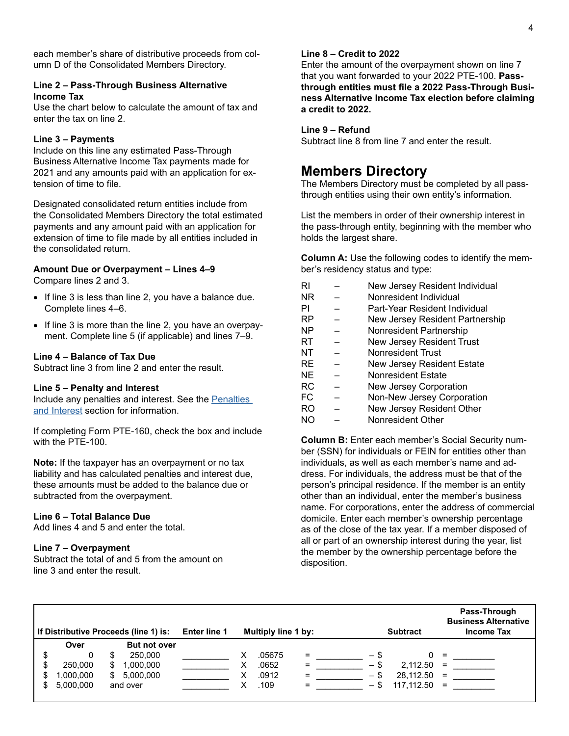each member's share of distributive proceeds from column D of the Consolidated Members Directory.

#### **Line 2 – Pass-Through Business Alternative Income Tax**

Use the chart below to calculate the amount of tax and enter the tax on line 2.

#### **Line 3 – Payments**

Include on this line any estimated Pass-Through Business Alternative Income Tax payments made for 2021 and any amounts paid with an application for extension of time to file.

Designated consolidated return entities include from the Consolidated Members Directory the total estimated payments and any amount paid with an application for extension of time to file made by all entities included in the consolidated return.

#### **Amount Due or Overpayment – Lines 4–9**

Compare lines 2 and 3.

- If line 3 is less than line 2, you have a balance due. Complete lines 4–6.
- If line 3 is more than the line 2, you have an overpayment. Complete line 5 (if applicable) and lines 7–9.

#### **Line 4 – Balance of Tax Due**

Subtract line 3 from line 2 and enter the result.

#### **Line 5 – Penalty and Interest**

Include any penalties and interest. See the Penalties [and Interest](#page-1-0) section for information.

If completing Form PTE-160, check the box and include with the PTE-100.

**Note:** If the taxpayer has an overpayment or no tax liability and has calculated penalties and interest due, these amounts must be added to the balance due or subtracted from the overpayment.

### **Line 6 – Total Balance Due**

Add lines 4 and 5 and enter the total.

#### **Line 7 – Overpayment**

Subtract the total of and 5 from the amount on line 3 and enter the result.

#### **Line 8 – Credit to 2022**

Enter the amount of the overpayment shown on line 7 that you want forwarded to your 2022 PTE-100. **Passthrough entities must file a 2022 Pass-Through Business Alternative Income Tax election before claiming a credit to 2022.**

#### **Line 9 – Refund**

Subtract line 8 from line 7 and enter the result.

# **Members Directory**

The Members Directory must be completed by all passthrough entities using their own entity's information.

List the members in order of their ownership interest in the pass-through entity, beginning with the member who holds the largest share.

**Column A:** Use the following codes to identify the member's residency status and type:

| RI        | New Jersey Resident Individual   |
|-----------|----------------------------------|
| <b>NR</b> | Nonresident Individual           |
| PI        | Part-Year Resident Individual    |
| <b>RP</b> | New Jersey Resident Partnership  |
| <b>NP</b> | Nonresident Partnership          |
| RT        | <b>New Jersey Resident Trust</b> |
| NT        | <b>Nonresident Trust</b>         |
| <b>RE</b> | New Jersey Resident Estate       |
| <b>NE</b> | <b>Nonresident Estate</b>        |
| RC        | New Jersey Corporation           |
| FC        | Non-New Jersey Corporation       |
| RO        | New Jersey Resident Other        |
| NΟ        | Nonresident Other                |

**Column B:** Enter each member's Social Security number (SSN) for individuals or FEIN for entities other than individuals, as well as each member's name and address. For individuals, the address must be that of the person's principal residence. If the member is an entity other than an individual, enter the member's business name. For corporations, enter the address of commercial domicile. Enter each member's ownership percentage as of the close of the tax year. If a member disposed of all or part of an ownership interest during the year, list the member by the ownership percentage before the disposition.

| If Distributive Proceeds (line 1) is: Enter line 1 |           |  |                     | Multiply line 1 by: |        |          |  | <b>Subtract</b> |                |          | Pass-Through<br><b>Business Alternative</b><br><b>Income Tax</b> |  |  |
|----------------------------------------------------|-----------|--|---------------------|---------------------|--------|----------|--|-----------------|----------------|----------|------------------------------------------------------------------|--|--|
|                                                    | Over      |  | <b>But not over</b> |                     |        |          |  |                 |                |          |                                                                  |  |  |
|                                                    |           |  | 250,000             |                     | .05675 | $=$      |  | — \$            |                | $\equiv$ |                                                                  |  |  |
|                                                    | 250,000   |  | 1,000,000           |                     | .0652  | $=$      |  | $-$ \$          | $2,112.50 =$   |          |                                                                  |  |  |
|                                                    | 1,000,000 |  | 5,000,000           |                     | .0912  | $\equiv$ |  |                 | 28,112.50      | $=$      |                                                                  |  |  |
|                                                    | 5.000.000 |  | and over            |                     | .109   | $=$      |  |                 | $117.112.50 =$ |          |                                                                  |  |  |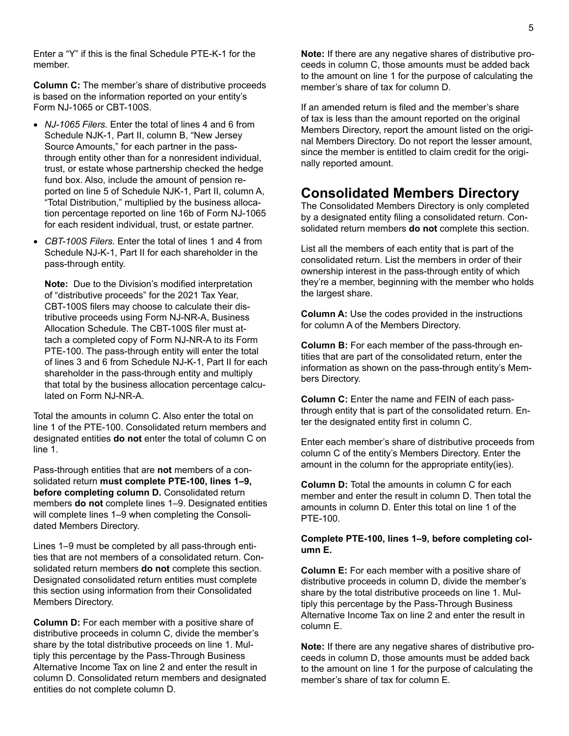5

Enter a "Y" if this is the final Schedule PTE-K-1 for the member.

**Column C:** The member's share of distributive proceeds is based on the information reported on your entity's Form NJ-1065 or CBT-100S.

- *NJ-1065 Filers.* Enter the total of lines 4 and 6 from Schedule NJK-1, Part II, column B, "New Jersey Source Amounts," for each partner in the passthrough entity other than for a nonresident individual, trust, or estate whose partnership checked the hedge fund box. Also, include the amount of pension reported on line 5 of Schedule NJK-1, Part II, column A, "Total Distribution," multiplied by the business allocation percentage reported on line 16b of Form NJ-1065 for each resident individual, trust, or estate partner.
- *CBT-100S Filers.* Enter the total of lines 1 and 4 from Schedule NJ-K-1, Part II for each shareholder in the pass-through entity.

**Note:** Due to the Division's modified interpretation of "distributive proceeds" for the 2021 Tax Year, CBT-100S filers may choose to calculate their distributive proceeds using Form NJ-NR-A, Business Allocation Schedule. The CBT-100S filer must attach a completed copy of Form NJ-NR-A to its Form PTE-100. The pass-through entity will enter the total of lines 3 and 6 from Schedule NJ-K-1, Part II for each shareholder in the pass-through entity and multiply that total by the business allocation percentage calculated on Form NJ-NR-A.

Total the amounts in column C. Also enter the total on line 1 of the PTE-100. Consolidated return members and designated entities **do not** enter the total of column C on line 1.

Pass-through entities that are **not** members of a consolidated return **must complete PTE-100, lines 1–9, before completing column D.** Consolidated return members **do not** complete lines 1–9. Designated entities will complete lines 1–9 when completing the Consolidated Members Directory.

Lines 1–9 must be completed by all pass-through entities that are not members of a consolidated return. Consolidated return members **do not** complete this section. Designated consolidated return entities must complete this section using information from their Consolidated Members Directory.

**Column D:** For each member with a positive share of distributive proceeds in column C, divide the member's share by the total distributive proceeds on line 1. Multiply this percentage by the Pass-Through Business Alternative Income Tax on line 2 and enter the result in column D. Consolidated return members and designated entities do not complete column D.

**Note:** If there are any negative shares of distributive proceeds in column C, those amounts must be added back to the amount on line 1 for the purpose of calculating the member's share of tax for column D.

If an amended return is filed and the member's share of tax is less than the amount reported on the original Members Directory, report the amount listed on the original Members Directory. Do not report the lesser amount, since the member is entitled to claim credit for the originally reported amount.

# **Consolidated Members Directory**

The Consolidated Members Directory is only completed by a designated entity filing a consolidated return. Consolidated return members **do not** complete this section.

List all the members of each entity that is part of the consolidated return. List the members in order of their ownership interest in the pass-through entity of which they're a member, beginning with the member who holds the largest share.

**Column A:** Use the codes provided in the instructions for column A of the Members Directory.

**Column B:** For each member of the pass-through entities that are part of the consolidated return, enter the information as shown on the pass-through entity's Members Directory.

**Column C:** Enter the name and FEIN of each passthrough entity that is part of the consolidated return. Enter the designated entity first in column C.

Enter each member's share of distributive proceeds from column C of the entity's Members Directory. Enter the amount in the column for the appropriate entity(ies).

**Column D:** Total the amounts in column C for each member and enter the result in column D. Then total the amounts in column D. Enter this total on line 1 of the PTE-100.

#### **Complete PTE-100, lines 1–9, before completing column E.**

**Column E:** For each member with a positive share of distributive proceeds in column D, divide the member's share by the total distributive proceeds on line 1. Multiply this percentage by the Pass-Through Business Alternative Income Tax on line 2 and enter the result in column E.

**Note:** If there are any negative shares of distributive proceeds in column D, those amounts must be added back to the amount on line 1 for the purpose of calculating the member's share of tax for column E.